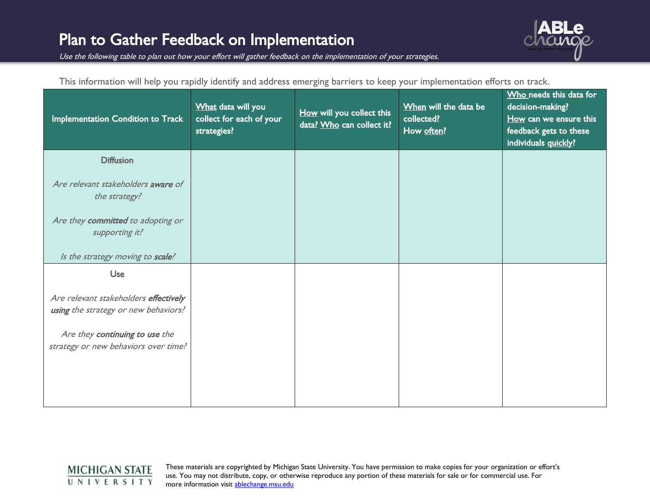

Use the following table to plan out how your effort will gather feedback on the implementation of your strategies.

| This information will help you rapidly identify and address emerging barriers to keep your implementation efforts on track. |  |  |
|-----------------------------------------------------------------------------------------------------------------------------|--|--|
|                                                                                                                             |  |  |

| Implementation Condition to Track                                             | What data will you<br>collect for each of your<br>strategies? | How will you collect this<br>data? Who can collect it? | When will the data be<br>collected?<br>How often? | Who needs this data for<br>decision-making?<br>How can we ensure this<br>feedback gets to these<br>individuals quickly? |
|-------------------------------------------------------------------------------|---------------------------------------------------------------|--------------------------------------------------------|---------------------------------------------------|-------------------------------------------------------------------------------------------------------------------------|
| <b>Diffusion</b>                                                              |                                                               |                                                        |                                                   |                                                                                                                         |
| Are relevant stakeholders aware of<br>the strategy?                           |                                                               |                                                        |                                                   |                                                                                                                         |
| Are they committed to adopting or<br>supporting it?                           |                                                               |                                                        |                                                   |                                                                                                                         |
| Is the strategy moving to scale?                                              |                                                               |                                                        |                                                   |                                                                                                                         |
| Use                                                                           |                                                               |                                                        |                                                   |                                                                                                                         |
| Are relevant stakeholders effectively<br>using the strategy or new behaviors? |                                                               |                                                        |                                                   |                                                                                                                         |
| Are they continuing to use the<br>strategy or new behaviors over time?        |                                                               |                                                        |                                                   |                                                                                                                         |
|                                                                               |                                                               |                                                        |                                                   |                                                                                                                         |

## **MICHIGAN STATE** UNIVERSITY

These materials are copyrighted by Michigan State University. You have permission to make copies for your organization or effort's use. You may not distribute, copy, or otherwise reproduce any portion of these materials for sale or for commercial use. For more information visit [ablechange.msu.edu](http://ablechange.msu.edu/)